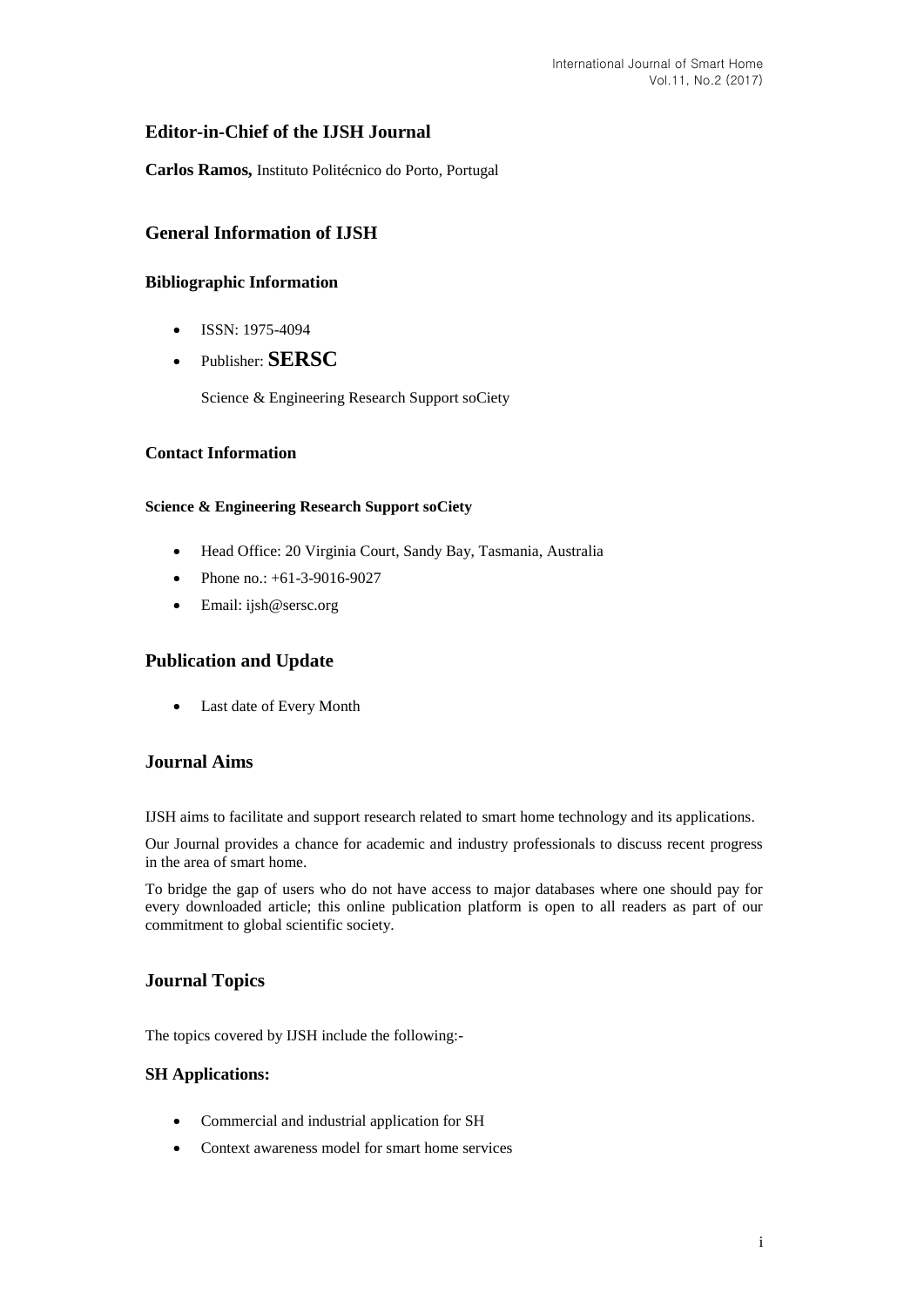# **Editor-in-Chief of the IJSH Journal**

**Carlos Ramos,** Instituto Politécnico do Porto, Portugal

# **General Information of IJSH**

## **Bibliographic Information**

- $\bullet$  ISSN: 1975-4094
- Publisher: **SERSC**

Science & Engineering Research Support soCiety

### **Contact Information**

#### **Science & Engineering Research Support soCiety**

- Head Office: 20 Virginia Court, Sandy Bay, Tasmania, Australia
- Phone no.: +61-3-9016-9027
- Email: [ijsh@sersc.org](mailto:ijast@sersc.org)

# **Publication and Update**

Last date of Every Month

## **Journal Aims**

IJSH aims to facilitate and support research related to smart home technology and its applications.

Our Journal provides a chance for academic and industry professionals to discuss recent progress in the area of smart home.

To bridge the gap of users who do not have access to major databases where one should pay for every downloaded article; this online publication platform is open to all readers as part of our commitment to global scientific society.

# **Journal Topics**

The topics covered by IJSH include the following:-

#### **SH Applications:**

- Commercial and industrial application for SH
- Context awareness model for smart home services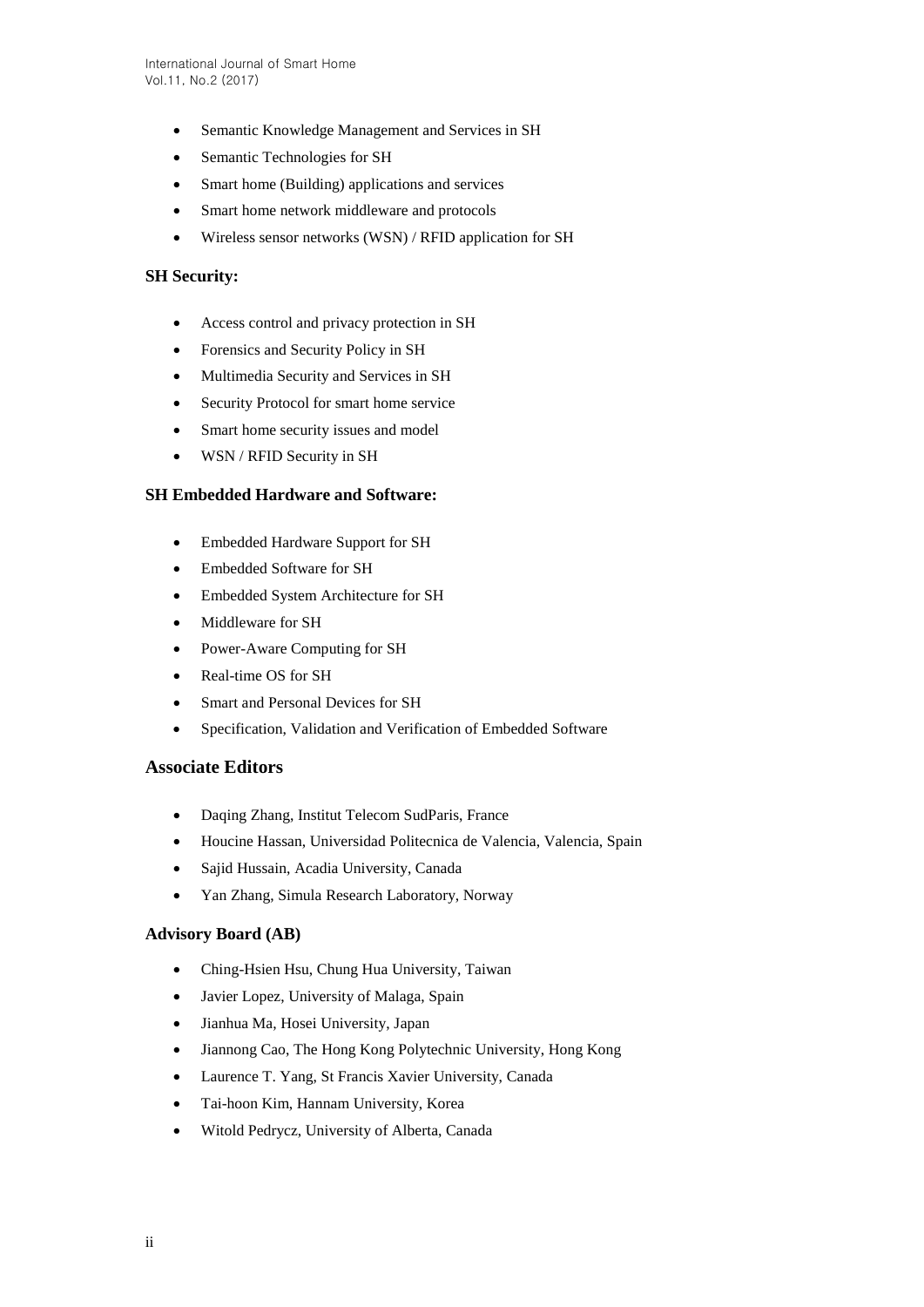- Semantic Knowledge Management and Services in SH
- Semantic Technologies for SH
- Smart home (Building) applications and services
- Smart home network middleware and protocols
- Wireless sensor networks (WSN) / RFID application for SH

### **SH Security:**

- Access control and privacy protection in SH
- Forensics and Security Policy in SH
- Multimedia Security and Services in SH
- Security Protocol for smart home service
- Smart home security issues and model
- WSN / RFID Security in SH

#### **SH Embedded Hardware and Software:**

- Embedded Hardware Support for SH
- Embedded Software for SH
- Embedded System Architecture for SH
- Middleware for SH
- Power-Aware Computing for SH
- Real-time OS for SH
- Smart and Personal Devices for SH
- Specification, Validation and Verification of Embedded Software

#### **Associate Editors**

- Daqing Zhang, Institut Telecom SudParis, France
- Houcine Hassan, Universidad Politecnica de Valencia, Valencia, Spain
- Sajid Hussain, Acadia University, Canada
- Yan Zhang, Simula Research Laboratory, Norway

### **Advisory Board (AB)**

- Ching-Hsien Hsu, Chung Hua University, Taiwan
- Javier Lopez, University of Malaga, Spain
- Jianhua Ma, Hosei University, Japan
- Jiannong Cao, The Hong Kong Polytechnic University, Hong Kong
- Laurence T. Yang, St Francis Xavier University, Canada
- Tai-hoon Kim, Hannam University, Korea
- Witold Pedrycz, University of Alberta, Canada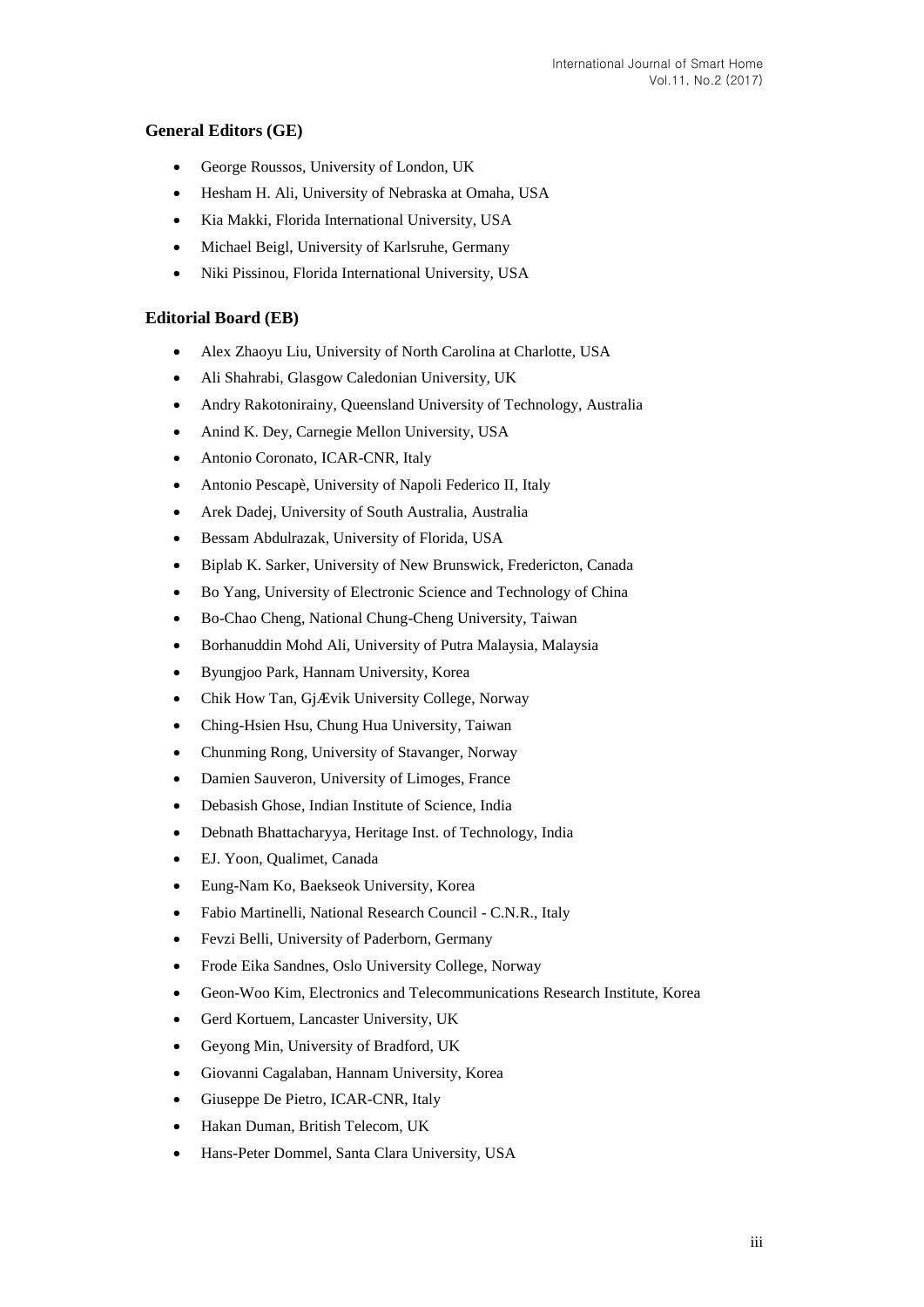## **General Editors (GE)**

- George Roussos, University of London, UK
- Hesham H. Ali, University of Nebraska at Omaha, USA
- Kia Makki, Florida International University, USA
- Michael Beigl, University of Karlsruhe, Germany
- Niki Pissinou, Florida International University, USA

### **Editorial Board (EB)**

- Alex Zhaoyu Liu, University of North Carolina at Charlotte, USA
- Ali Shahrabi, Glasgow Caledonian University, UK
- Andry Rakotonirainy, Queensland University of Technology, Australia
- Anind K. Dey, Carnegie Mellon University, USA
- Antonio Coronato, ICAR-CNR, Italy
- Antonio Pescapè, University of Napoli Federico II, Italy
- Arek Dadej, University of South Australia, Australia
- Bessam Abdulrazak, University of Florida, USA
- Biplab K. Sarker, University of New Brunswick, Fredericton, Canada
- Bo Yang, University of Electronic Science and Technology of China
- Bo-Chao Cheng, National Chung-Cheng University, Taiwan
- Borhanuddin Mohd Ali, University of Putra Malaysia, Malaysia
- Byungjoo Park, Hannam University, Korea
- Chik How Tan, GjÆ vik University College, Norway
- Ching-Hsien Hsu, Chung Hua University, Taiwan
- Chunming Rong, University of Stavanger, Norway
- Damien Sauveron, University of Limoges, France
- Debasish Ghose, Indian Institute of Science, India
- Debnath Bhattacharyya, Heritage Inst. of Technology, India
- EJ. Yoon, Qualimet, Canada
- Eung-Nam Ko, Baekseok University, Korea
- Fabio Martinelli, National Research Council C.N.R., Italy
- Fevzi Belli, University of Paderborn, Germany
- Frode Eika Sandnes, Oslo University College, Norway
- Geon-Woo Kim, Electronics and Telecommunications Research Institute, Korea
- Gerd Kortuem, Lancaster University, UK
- Geyong Min, University of Bradford, UK
- Giovanni Cagalaban, Hannam University, Korea
- Giuseppe De Pietro, ICAR-CNR, Italy
- Hakan Duman, British Telecom, UK
- Hans-Peter Dommel, Santa Clara University, USA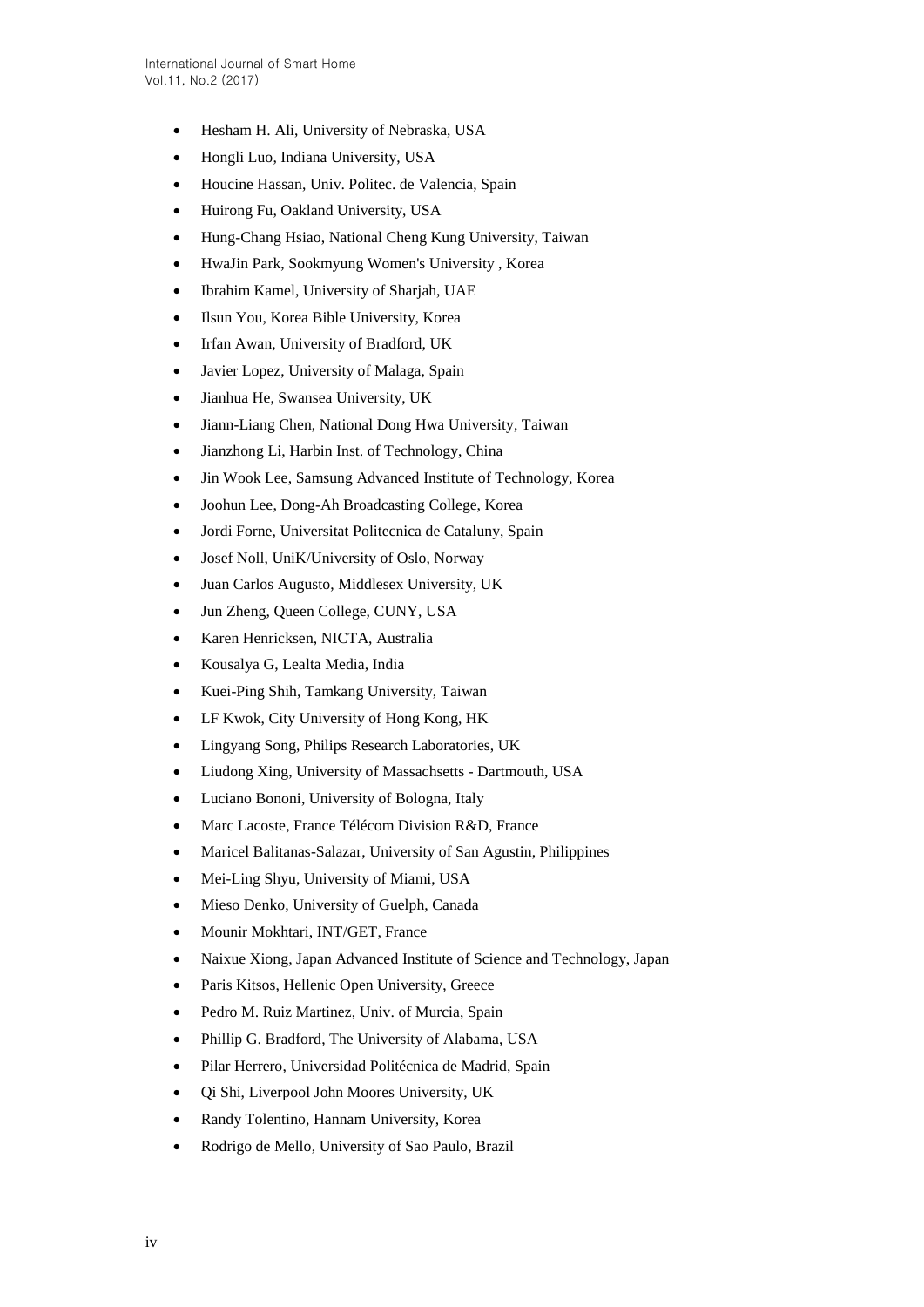- Hesham H. Ali, University of Nebraska, USA
- Hongli Luo, Indiana University, USA
- Houcine Hassan, Univ. Politec. de Valencia, Spain
- Huirong Fu, Oakland University, USA
- Hung-Chang Hsiao, National Cheng Kung University, Taiwan
- HwaJin Park, Sookmyung Women's University , Korea
- Ibrahim Kamel, University of Sharjah, UAE
- Ilsun You, Korea Bible University, Korea
- Irfan Awan, University of Bradford, UK
- Javier Lopez, University of Malaga, Spain
- Jianhua He, Swansea University, UK
- Jiann-Liang Chen, National Dong Hwa University, Taiwan
- Jianzhong Li, Harbin Inst. of Technology, China
- Jin Wook Lee, Samsung Advanced Institute of Technology, Korea
- Joohun Lee, Dong-Ah Broadcasting College, Korea
- Jordi Forne, Universitat Politecnica de Cataluny, Spain
- Josef Noll, UniK/University of Oslo, Norway
- Juan Carlos Augusto, Middlesex University, UK
- Jun Zheng, Queen College, CUNY, USA
- Karen Henricksen, NICTA, Australia
- Kousalya G, Lealta Media, India
- Kuei-Ping Shih, Tamkang University, Taiwan
- LF Kwok, City University of Hong Kong, HK
- Lingyang Song, Philips Research Laboratories, UK
- Liudong Xing, University of Massachsetts Dartmouth, USA
- Luciano Bononi, University of Bologna, Italy
- Marc Lacoste, France Télécom Division R&D, France
- Maricel Balitanas-Salazar, University of San Agustin, Philippines
- Mei-Ling Shyu, University of Miami, USA
- Mieso Denko, University of Guelph, Canada
- Mounir Mokhtari, INT/GET, France
- Naixue Xiong, Japan Advanced Institute of Science and Technology, Japan
- Paris Kitsos, Hellenic Open University, Greece
- Pedro M. Ruiz Martinez, Univ. of Murcia, Spain
- Phillip G. Bradford, The University of Alabama, USA
- Pilar Herrero, Universidad Politécnica de Madrid, Spain
- Qi Shi, Liverpool John Moores University, UK
- Randy Tolentino, Hannam University, Korea
- Rodrigo de Mello, University of Sao Paulo, Brazil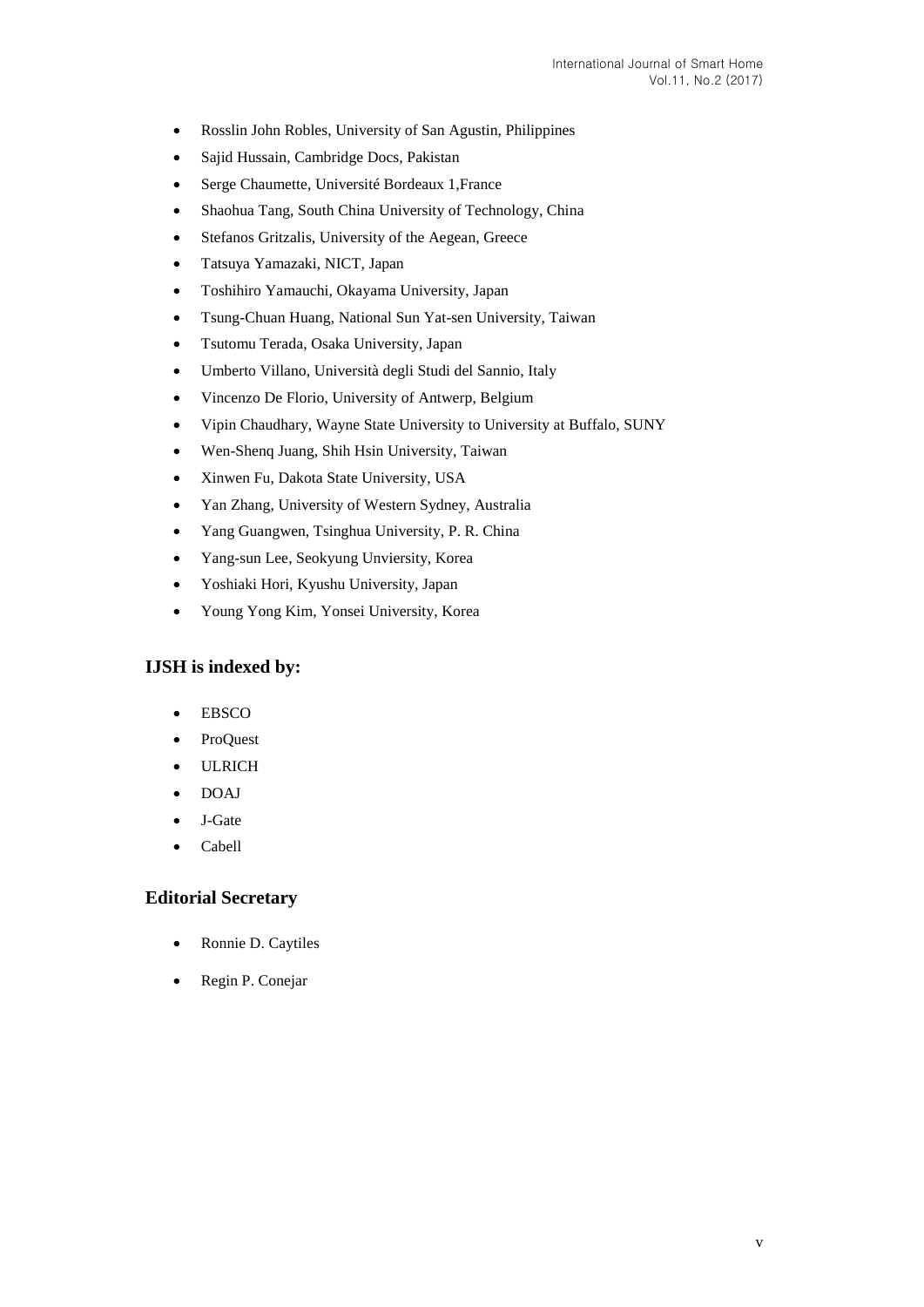- Rosslin John Robles, University of San Agustin, Philippines
- Sajid Hussain, Cambridge Docs, Pakistan
- Serge Chaumette, Université Bordeaux 1,France
- Shaohua Tang, South China University of Technology, China
- Stefanos Gritzalis, University of the Aegean, Greece
- Tatsuya Yamazaki, NICT, Japan
- Toshihiro Yamauchi, Okayama University, Japan
- Tsung-Chuan Huang, National Sun Yat-sen University, Taiwan
- Tsutomu Terada, Osaka University, Japan
- Umberto Villano, Università degli Studi del Sannio, Italy
- Vincenzo De Florio, University of Antwerp, Belgium
- Vipin Chaudhary, Wayne State University to University at Buffalo, SUNY
- Wen-Shenq Juang, Shih Hsin University, Taiwan
- Xinwen Fu, Dakota State University, USA
- Yan Zhang, University of Western Sydney, Australia
- Yang Guangwen, Tsinghua University, P. R. China
- Yang-sun Lee, Seokyung Unviersity, Korea
- Yoshiaki Hori, Kyushu University, Japan
- Young Yong Kim, Yonsei University, Korea

## **IJSH is indexed by:**

- EBSCO
- ProQuest
- ULRICH
- DOAJ
- J-Gate
- Cabell

### **Editorial Secretary**

- Ronnie D. Caytiles
- Regin P. Conejar